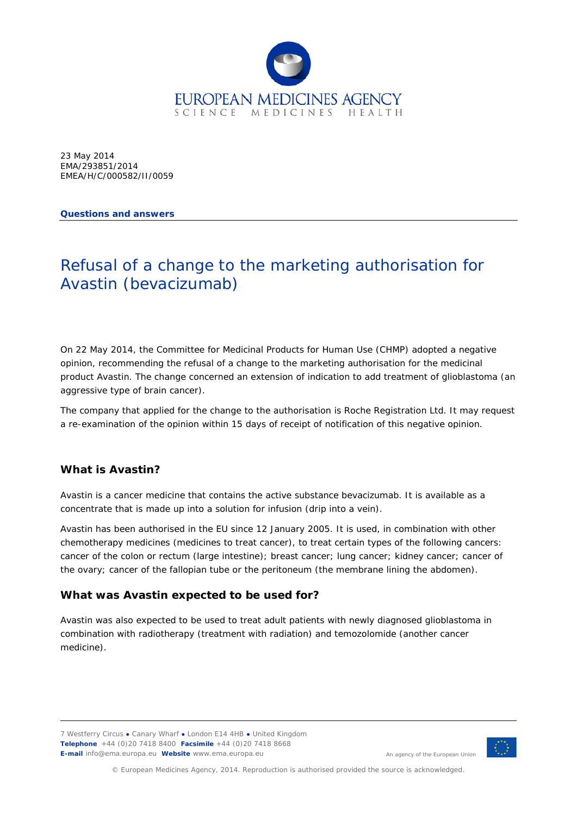

23 May 2014 EMA/293851/2014 EMEA/H/C/000582/II/0059

**Questions and answers**

# Refusal of a change to the marketing authorisation for Avastin (bevacizumab)

On 22 May 2014, the Committee for Medicinal Products for Human Use (CHMP) adopted a negative opinion, recommending the refusal of a change to the marketing authorisation for the medicinal product Avastin. The change concerned an extension of indication to add treatment of glioblastoma (an aggressive type of brain cancer).

The company that applied for the change to the authorisation is Roche Registration Ltd. It may request a re-examination of the opinion within 15 days of receipt of notification of this negative opinion.

# **What is Avastin?**

Avastin is a cancer medicine that contains the active substance bevacizumab. It is available as a concentrate that is made up into a solution for infusion (drip into a vein).

Avastin has been authorised in the EU since 12 January 2005. It is used, in combination with other chemotherapy medicines (medicines to treat cancer), to treat certain types of the following cancers: cancer of the colon or rectum (large intestine); breast cancer; lung cancer; kidney cancer; cancer of the ovary; cancer of the fallopian tube or the peritoneum (the membrane lining the abdomen).

#### **What was Avastin expected to be used for?**

Avastin was also expected to be used to treat adult patients with newly diagnosed glioblastoma in combination with radiotherapy (treatment with radiation) and temozolomide (another cancer medicine).

7 Westferry Circus **●** Canary Wharf **●** London E14 4HB **●** United Kingdom **Telephone** +44 (0)20 7418 8400 **Facsimile** +44 (0)20 7418 8668 **E-mail** info@ema.europa.eu **Website** www.ema.europa.eu



An agency of the European Union

© European Medicines Agency, 2014. Reproduction is authorised provided the source is acknowledged.